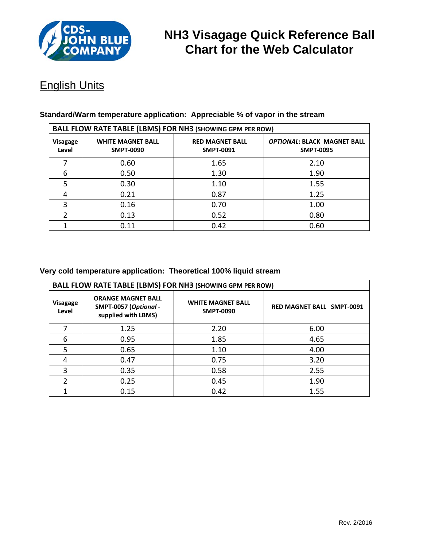

# **NH3 Visagage Quick Reference Ball Chart for the Web Calculator**

## English Units

| <b>BALL FLOW RATE TABLE (LBMS) FOR NH3 (SHOWING GPM PER ROW)</b> |                                              |                                            |                                                        |  |  |  |
|------------------------------------------------------------------|----------------------------------------------|--------------------------------------------|--------------------------------------------------------|--|--|--|
| Visagage<br>Level                                                | <b>WHITE MAGNET BALL</b><br><b>SMPT-0090</b> | <b>RED MAGNET BALL</b><br><b>SMPT-0091</b> | <b>OPTIONAL: BLACK MAGNET BALL</b><br><b>SMPT-0095</b> |  |  |  |
|                                                                  | 0.60                                         | 1.65                                       | 2.10                                                   |  |  |  |
| 6                                                                | 0.50                                         | 1.30                                       | 1.90                                                   |  |  |  |
| 5                                                                | 0.30                                         | 1.10                                       | 1.55                                                   |  |  |  |
| 4                                                                | 0.21                                         | 0.87                                       | 1.25                                                   |  |  |  |
| 3                                                                | 0.16                                         | 0.70                                       | 1.00                                                   |  |  |  |
|                                                                  | 0.13                                         | 0.52                                       | 0.80                                                   |  |  |  |
|                                                                  | 0.11                                         | 0.42                                       | 0.60                                                   |  |  |  |

#### **Standard/Warm temperature application: Appreciable % of vapor in the stream**

#### **Very cold temperature application: Theoretical 100% liquid stream**

| <b>BALL FLOW RATE TABLE (LBMS) FOR NH3 (SHOWING GPM PER ROW)</b> |                                                                           |                                              |                                  |  |  |  |
|------------------------------------------------------------------|---------------------------------------------------------------------------|----------------------------------------------|----------------------------------|--|--|--|
| Visagage<br>Level                                                | <b>ORANGE MAGNET BALL</b><br>SMPT-0057 (Optional -<br>supplied with LBMS) | <b>WHITE MAGNET BALL</b><br><b>SMPT-0090</b> | <b>RED MAGNET BALL SMPT-0091</b> |  |  |  |
|                                                                  | 1.25                                                                      | 2.20                                         | 6.00                             |  |  |  |
| 6                                                                | 0.95                                                                      | 1.85                                         | 4.65                             |  |  |  |
| 5                                                                | 0.65                                                                      | 1.10                                         | 4.00                             |  |  |  |
| 4                                                                | 0.47                                                                      | 0.75                                         | 3.20                             |  |  |  |
| 3                                                                | 0.35                                                                      | 0.58                                         | 2.55                             |  |  |  |
| $\mathcal{P}$                                                    | 0.25                                                                      | 0.45                                         | 1.90                             |  |  |  |
|                                                                  | 0.15                                                                      | 0.42                                         | 1.55                             |  |  |  |